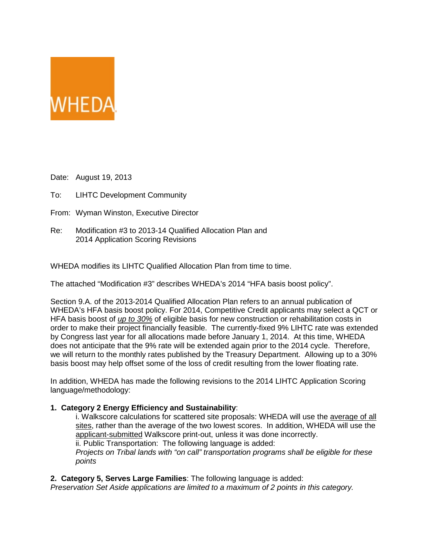

Date: August 19, 2013

- To: LIHTC Development Community
- From: Wyman Winston, Executive Director
- Re: Modification #3 to 2013-14 Qualified Allocation Plan and 2014 Application Scoring Revisions

WHEDA modifies its LIHTC Qualified Allocation Plan from time to time.

The attached "Modification #3" describes WHEDA's 2014 "HFA basis boost policy".

Section 9.A. of the 2013-2014 Qualified Allocation Plan refers to an annual publication of WHEDA's HFA basis boost policy. For 2014, Competitive Credit applicants may select a QCT or HFA basis boost of *up to 30%* of eligible basis for new construction or rehabilitation costs in order to make their project financially feasible. The currently-fixed 9% LIHTC rate was extended by Congress last year for all allocations made before January 1, 2014. At this time, WHEDA does not anticipate that the 9% rate will be extended again prior to the 2014 cycle. Therefore, we will return to the monthly rates published by the Treasury Department. Allowing up to a 30% basis boost may help offset some of the loss of credit resulting from the lower floating rate.

In addition, WHEDA has made the following revisions to the 2014 LIHTC Application Scoring language/methodology:

# **1. Category 2 Energy Efficiency and Sustainability**:

i. Walkscore calculations for scattered site proposals: WHEDA will use the average of all sites, rather than the average of the two lowest scores. In addition, WHEDA will use the applicant-submitted Walkscore print-out, unless it was done incorrectly. ii. Public Transportation: The following language is added:

*Projects on Tribal lands with "on call" transportation programs shall be eligible for these points*

## **2. Category 5, Serves Large Families**: The following language is added:

*Preservation Set Aside applications are limited to a maximum of 2 points in this category.*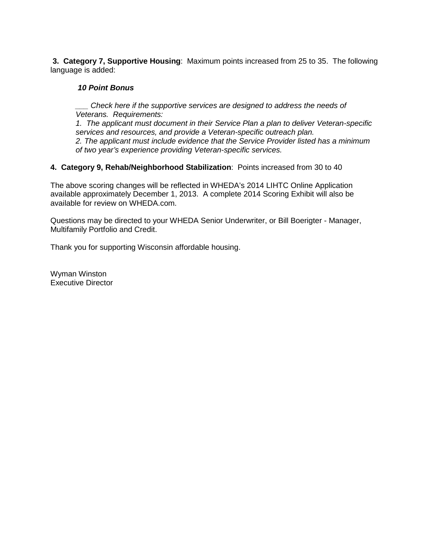**3. Category 7, Supportive Housing**: Maximum points increased from 25 to 35. The following language is added:

## *10 Point Bonus*

*\_\_\_ Check here if the supportive services are designed to address the needs of Veterans. Requirements:*

*1. The applicant must document in their Service Plan a plan to deliver Veteran-specific services and resources, and provide a Veteran-specific outreach plan. 2. The applicant must include evidence that the Service Provider listed has a minimum of two year's experience providing Veteran-specific services.*

#### **4. Category 9, Rehab/Neighborhood Stabilization**: Points increased from 30 to 40

The above scoring changes will be reflected in WHEDA's 2014 LIHTC Online Application available approximately December 1, 2013. A complete 2014 Scoring Exhibit will also be available for review on WHEDA.com.

Questions may be directed to your WHEDA Senior Underwriter, or Bill Boerigter - Manager, Multifamily Portfolio and Credit.

Thank you for supporting Wisconsin affordable housing.

Wyman Winston Executive Director